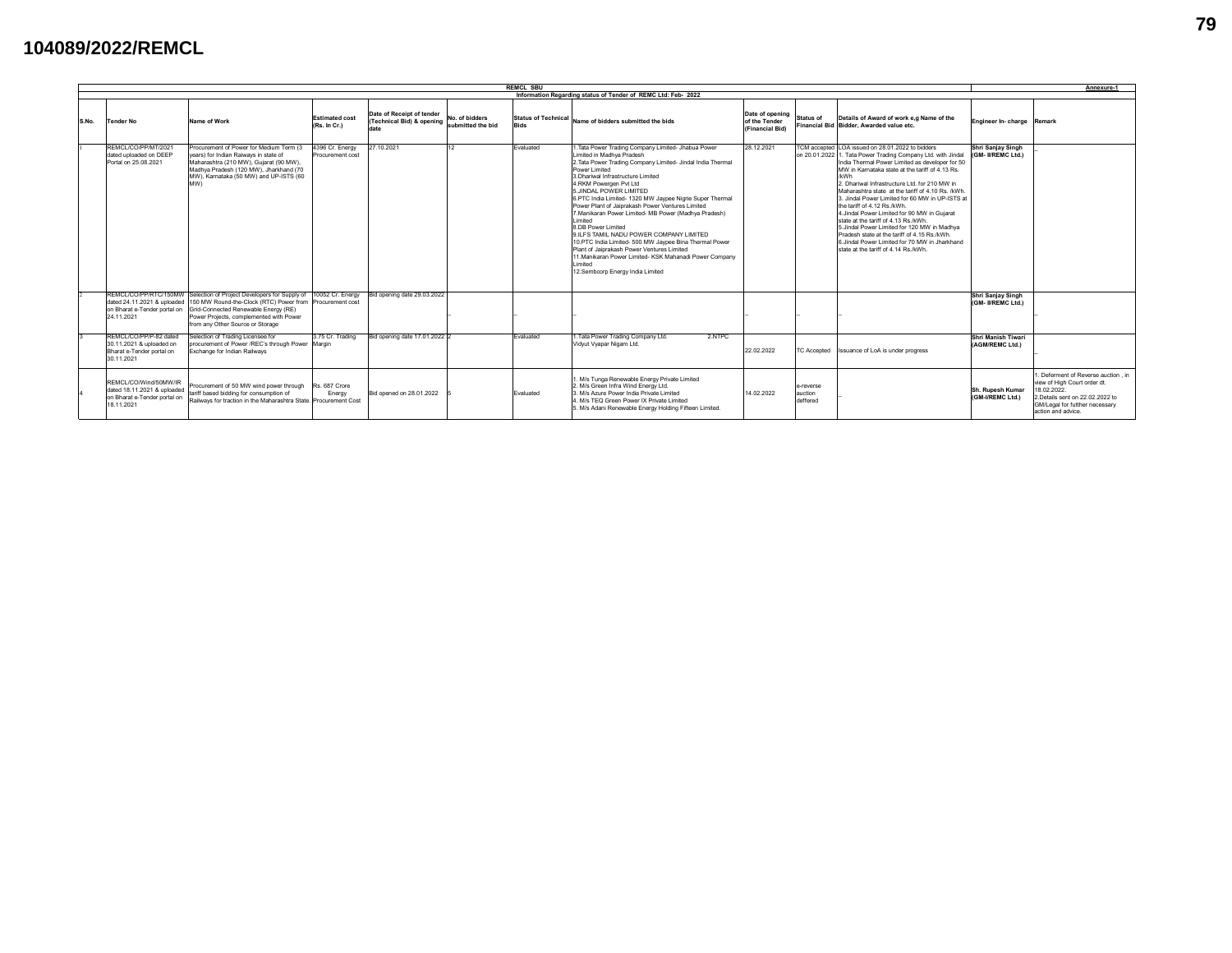## **104089/2022/REMCL**

|       |                                                                                                    |                                                                                                                                                                                                                                                                                                                                  |                                       |                                                                |                                     | <b>REMCL SBU</b> |                                                                                                                                                                                                                                                                                                                                                                                                                                                                                                                                                                                                                                                                                                                                 |                                                     |                                                                                                                                                                                                                                                                                                                                                                                                                                                                                                                                                                                                                                                                                                       |                                               | Annexure-1                                                                                                                                                                   |
|-------|----------------------------------------------------------------------------------------------------|----------------------------------------------------------------------------------------------------------------------------------------------------------------------------------------------------------------------------------------------------------------------------------------------------------------------------------|---------------------------------------|----------------------------------------------------------------|-------------------------------------|------------------|---------------------------------------------------------------------------------------------------------------------------------------------------------------------------------------------------------------------------------------------------------------------------------------------------------------------------------------------------------------------------------------------------------------------------------------------------------------------------------------------------------------------------------------------------------------------------------------------------------------------------------------------------------------------------------------------------------------------------------|-----------------------------------------------------|-------------------------------------------------------------------------------------------------------------------------------------------------------------------------------------------------------------------------------------------------------------------------------------------------------------------------------------------------------------------------------------------------------------------------------------------------------------------------------------------------------------------------------------------------------------------------------------------------------------------------------------------------------------------------------------------------------|-----------------------------------------------|------------------------------------------------------------------------------------------------------------------------------------------------------------------------------|
|       |                                                                                                    | Information Regarding status of Tender of REMC Ltd: Feb- 2022                                                                                                                                                                                                                                                                    |                                       |                                                                |                                     |                  |                                                                                                                                                                                                                                                                                                                                                                                                                                                                                                                                                                                                                                                                                                                                 |                                                     |                                                                                                                                                                                                                                                                                                                                                                                                                                                                                                                                                                                                                                                                                                       |                                               |                                                                                                                                                                              |
| S.No. | <b>Tender No</b>                                                                                   | Name of Work                                                                                                                                                                                                                                                                                                                     | <b>Estimated cost</b><br>(Rs. In Cr.) | Date of Receipt of tender<br>(Technical Bid) & opening<br>date | No. of bidders<br>submitted the bid | <b>Bids</b>      | Status of Technical Name of bidders submitted the bids                                                                                                                                                                                                                                                                                                                                                                                                                                                                                                                                                                                                                                                                          | Date of opening<br>of the Tender<br>(Financial Bid) | <b>Status of</b><br>Details of Award of work e.g Name of the<br>Financial Bid Bidder, Awarded value etc.                                                                                                                                                                                                                                                                                                                                                                                                                                                                                                                                                                                              | Engineer In- charge Remark                    |                                                                                                                                                                              |
|       | REMCL/CO/PP/MT/2021<br>dated uploaded on DEEP<br>Portal on 25.08.2021                              | Procurement of Power for Medium Term (3<br>vears) for Indian Raiways in state of<br>Maharashtra (210 MW), Gujarat (90 MW),<br>Madhya Pradesh (120 MW), Jharkhand (70<br>MW), Karnataka (50 MW) and UP-ISTS (60<br>MW)                                                                                                            | 4396 Cr. Energy<br>Procurement cost   | 27.10.2021                                                     | 12                                  | Evaluated        | 1. Tata Power Trading Company Limited- Jhabua Power<br>Limited in Madhva Pradesh<br>2. Tata Power Trading Company Limited- Jindal India Thermal<br>Power Limited<br>3. Dhariwal Infrastructure Limited<br>4.RKM Powergen Pvt Ltd<br>5 JINDAI POWER LIMITED<br>6.PTC India Limited- 1320 MW Javpee Nigrie Super Thermal<br>Power Plant of Jaiprakash Power Ventures Limited<br>7. Manikaran Power Limited- MB Power (Madhya Pradesh)<br>imited<br>8.DB Power Limited<br>9.ILFS TAMIL NADU POWER COMPANY LIMITED<br>10.PTC India Limited- 500 MW Javpee Bina Thermal Power<br>Plant of Jaiprakash Power Ventures Limited<br>11. Manikaran Power Limited- KSK Mahanadi Power Company<br>imited<br>12.Sembcorp Energy India Limited | 28.12.2021                                          | TCM accepted LOA issued on 28.01.2022 to bidders<br>on 20.01.2022 1. Tata Power Trading Company Ltd. with Jindal<br>India Thermal Power Limited as developer for 50<br>MW in Karnataka state at the tariff of 4.13 Rs.<br>/kWh<br>2. Dhariwal Infrastructure Ltd. for 210 MW in<br>Maharashtra state at the tariff of 4.10 Rs. /kWh<br>3. Jindal Power Limited for 60 MW in UP-ISTS at<br>the tariff of 4.12 Rs./kWh.<br>4. Jindal Power Limited for 90 MW in Guiarat<br>state at the tariff of 4.13 Rs./kWh.<br>5. Jindal Power Limited for 120 MW in Madhya<br>Pradesh state at the tariff of 4.15 Rs./kWh.<br>6 Jindal Power Limited for 70 MW in Jharkhand<br>state at the tariff of 4 14 Rs /kWh | Shri Sanjay Singh<br><b>GM- II/REMC Ltd.)</b> |                                                                                                                                                                              |
|       | 24.11.2021                                                                                         | REMCL/CO/PP/RTC/150MW Selection of Project Developers for Supply of 10052 Cr. Energy<br>dated 24.11.2021 & uploaded 150 MW Round-the-Clock (RTC) Power from Procurement cost<br>on Bharat e-Tender portal on Grid-Connected Renewable Energy (RE)<br>Power Projects, complemented with Power<br>from any Other Source or Storage |                                       | Bid opening date 29.03.2022                                    |                                     |                  |                                                                                                                                                                                                                                                                                                                                                                                                                                                                                                                                                                                                                                                                                                                                 |                                                     |                                                                                                                                                                                                                                                                                                                                                                                                                                                                                                                                                                                                                                                                                                       | Shri Sanjay Singh<br>(GM- IVREMC Ltd.)        |                                                                                                                                                                              |
|       | REMCL/CO/PP/P-82 dated<br>30.11.2021 & uploaded on<br>Bharat e-Tender portal on<br>30.11.2021      | Selection of Trading Licensee for<br>procurement of Power /REC's through Power Margin<br>Exchange for Indian Railways                                                                                                                                                                                                            | 3.75 Cr. Trading                      | Bid opening date 17.01.2022 2                                  |                                     | Evaluated        | 2 NTPC<br>Tata Power Trading Company Ltd.<br>Vidyut Vyapar Nigam Ltd.                                                                                                                                                                                                                                                                                                                                                                                                                                                                                                                                                                                                                                                           | 22.02.2022                                          | TC Accepted Issuance of LoA is under progress                                                                                                                                                                                                                                                                                                                                                                                                                                                                                                                                                                                                                                                         | Shri Manish Tiwari<br>(AGM/REMC Ltd.)         |                                                                                                                                                                              |
|       | REMCL/CO/Wind/50MW/IR<br>dated 18.11.2021 & uploaded<br>on Bharat e-Tender portal on<br>18 11 2021 | Procurement of 50 MW wind power through<br>tariff based bidding for consumption of<br>Railways for traction in the Maharashtra State. Procurement Cost                                                                                                                                                                           | Rs. 687 Crore<br>Energy               | Bid opened on 28.01.2022                                       |                                     | Evaluated        | I. M/s Tunga Renewable Energy Private Limited<br>2. M/s Green Infra Wind Energy Ltd.<br>3 M/s Azure Power India Private Limited<br>4. M/s TEQ Green Power IX Private Limited<br>5. M/s Adani Renewable Energy Holding Fifteen Limited.                                                                                                                                                                                                                                                                                                                                                                                                                                                                                          | 14.02.2022                                          | e-reverse<br>auction<br>deffered                                                                                                                                                                                                                                                                                                                                                                                                                                                                                                                                                                                                                                                                      | Sh. Rupesh Kumar<br>(GM-I/REMC Ltd.)          | . Deferment of Reverse auction . in<br>view of High Court order dt.<br>18.02.2022<br>2. Details sent on 22.02.2022 to<br>GM/Legal for futther necessary<br>action and advice |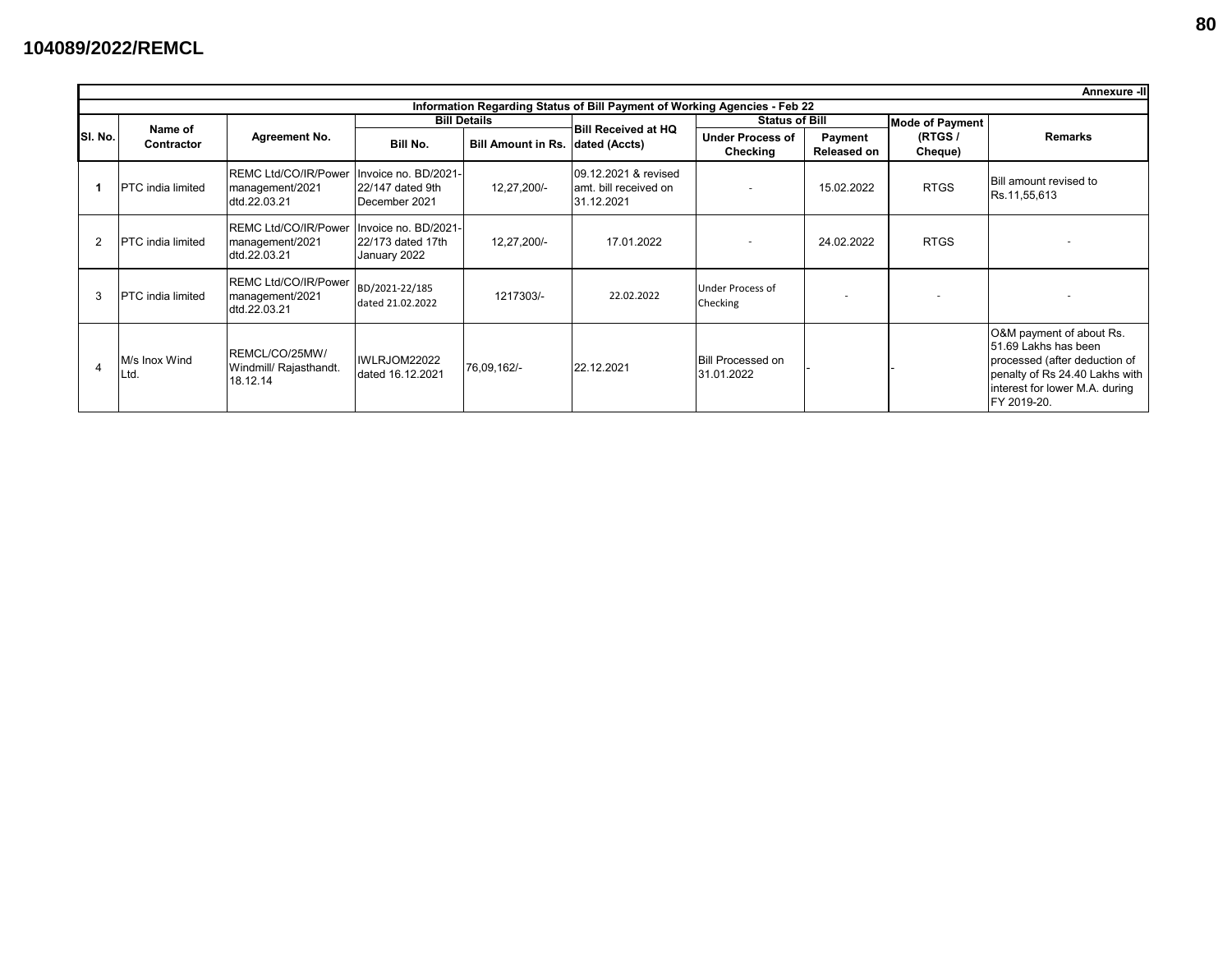|                |                                                                           |                                                         |                                                           |                           |                                                              |                                                                      |            |                        | Annexure -III                                                                                                                                                        |  |  |  |  |  |
|----------------|---------------------------------------------------------------------------|---------------------------------------------------------|-----------------------------------------------------------|---------------------------|--------------------------------------------------------------|----------------------------------------------------------------------|------------|------------------------|----------------------------------------------------------------------------------------------------------------------------------------------------------------------|--|--|--|--|--|
|                | Information Regarding Status of Bill Payment of Working Agencies - Feb 22 |                                                         |                                                           |                           |                                                              |                                                                      |            |                        |                                                                                                                                                                      |  |  |  |  |  |
|                | Name of                                                                   |                                                         |                                                           | <b>Bill Details</b>       | <b>Bill Received at HQ</b>                                   | <b>Status of Bill</b>                                                |            | <b>Mode of Payment</b> |                                                                                                                                                                      |  |  |  |  |  |
| SI. No.        | Contractor                                                                | Agreement No.                                           | Bill No.                                                  | <b>Bill Amount in Rs.</b> | dated (Accts)                                                | <b>Under Process of</b><br>Payment<br>Checking<br><b>Released on</b> |            | (RTGS /<br>Cheque)     | <b>Remarks</b>                                                                                                                                                       |  |  |  |  |  |
|                | <b>PTC</b> india limited                                                  | REMC Ltd/CO/IR/Power<br>management/2021<br>dtd.22.03.21 | Invoice no. BD/2021-<br>22/147 dated 9th<br>December 2021 | 12,27,200/-               | 09.12.2021 & revised<br>lamt. bill received on<br>31.12.2021 |                                                                      | 15.02.2022 | <b>RTGS</b>            | <b>Bill amount revised to</b><br>Rs.11,55,613                                                                                                                        |  |  |  |  |  |
| 2              | <b>PTC</b> india limited                                                  | REMC Ltd/CO/IR/Power<br>management/2021<br>dtd.22.03.21 | Invoice no. BD/2021-<br>22/173 dated 17th<br>January 2022 | 12,27,200/-               | 17.01.2022                                                   |                                                                      | 24.02.2022 | <b>RTGS</b>            |                                                                                                                                                                      |  |  |  |  |  |
| 3              | <b>PTC</b> india limited                                                  | REMC Ltd/CO/IR/Power<br>management/2021<br>dtd.22.03.21 | BD/2021-22/185<br>dated 21.02.2022                        | 1217303/-                 | 22.02.2022                                                   | <b>Under Process of</b><br>Checking                                  |            |                        |                                                                                                                                                                      |  |  |  |  |  |
| $\overline{4}$ | M/s Inox Wind<br>Ltd.                                                     | REMCL/CO/25MW/<br>Windmill/ Rajasthandt.<br>18.12.14    | IWLRJOM22022<br>dated 16.12.2021                          | 76,09,162/-               | 22.12.2021                                                   | <b>Bill Processed on</b><br>31.01.2022                               |            |                        | O&M payment of about Rs.<br>51.69 Lakhs has been<br>processed (after deduction of<br>penalty of Rs 24.40 Lakhs with<br>interest for lower M.A. during<br>FY 2019-20. |  |  |  |  |  |